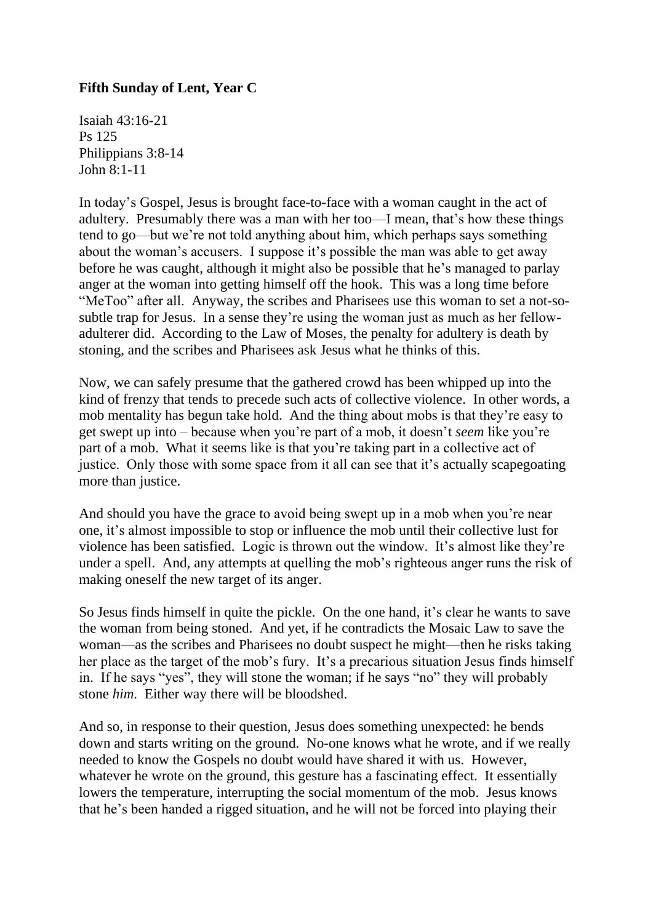## **Fifth Sunday of Lent, Year C**

Isaiah 43:16-21 Ps 125 Philippians 3:8-14 John 8:1-11

In today's Gospel, Jesus is brought face-to-face with a woman caught in the act of adultery. Presumably there was a man with her too—I mean, that's how these things tend to go—but we're not told anything about him, which perhaps says something about the woman's accusers. I suppose it's possible the man was able to get away before he was caught, although it might also be possible that he's managed to parlay anger at the woman into getting himself off the hook. This was a long time before "MeToo" after all. Anyway, the scribes and Pharisees use this woman to set a not-sosubtle trap for Jesus. In a sense they're using the woman just as much as her fellowadulterer did. According to the Law of Moses, the penalty for adultery is death by stoning, and the scribes and Pharisees ask Jesus what he thinks of this.

Now, we can safely presume that the gathered crowd has been whipped up into the kind of frenzy that tends to precede such acts of collective violence. In other words, a mob mentality has begun take hold. And the thing about mobs is that they're easy to get swept up into – because when you're part of a mob, it doesn't *seem* like you're part of a mob. What it seems like is that you're taking part in a collective act of justice. Only those with some space from it all can see that it's actually scapegoating more than justice.

And should you have the grace to avoid being swept up in a mob when you're near one, it's almost impossible to stop or influence the mob until their collective lust for violence has been satisfied. Logic is thrown out the window. It's almost like they're under a spell. And, any attempts at quelling the mob's righteous anger runs the risk of making oneself the new target of its anger.

So Jesus finds himself in quite the pickle. On the one hand, it's clear he wants to save the woman from being stoned. And yet, if he contradicts the Mosaic Law to save the woman—as the scribes and Pharisees no doubt suspect he might—then he risks taking her place as the target of the mob's fury. It's a precarious situation Jesus finds himself in. If he says "yes", they will stone the woman; if he says "no" they will probably stone *him*. Either way there will be bloodshed.

And so, in response to their question, Jesus does something unexpected: he bends down and starts writing on the ground. No-one knows what he wrote, and if we really needed to know the Gospels no doubt would have shared it with us. However, whatever he wrote on the ground, this gesture has a fascinating effect. It essentially lowers the temperature, interrupting the social momentum of the mob. Jesus knows that he's been handed a rigged situation, and he will not be forced into playing their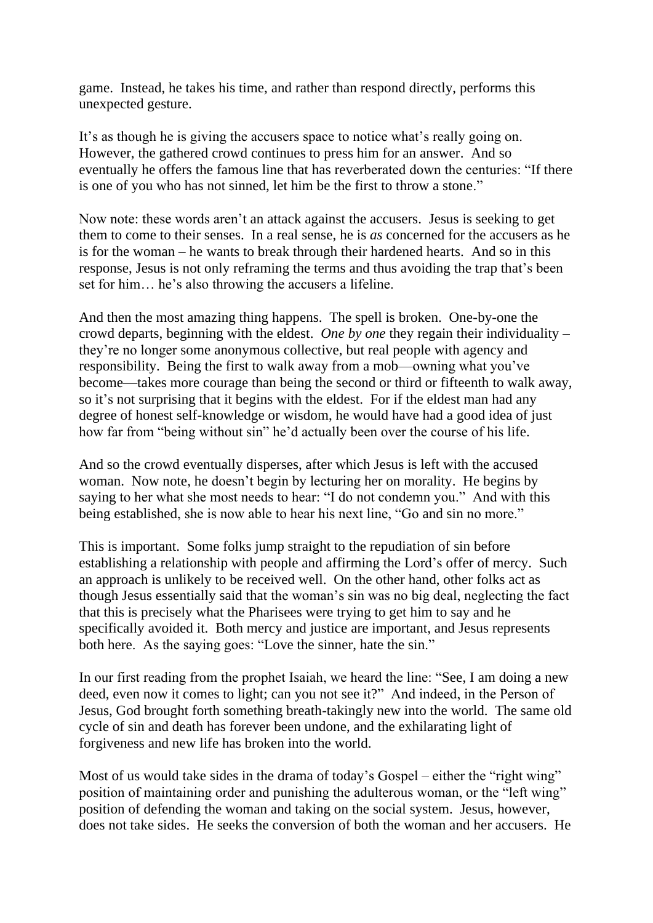game. Instead, he takes his time, and rather than respond directly, performs this unexpected gesture.

It's as though he is giving the accusers space to notice what's really going on. However, the gathered crowd continues to press him for an answer. And so eventually he offers the famous line that has reverberated down the centuries: "If there is one of you who has not sinned, let him be the first to throw a stone."

Now note: these words aren't an attack against the accusers. Jesus is seeking to get them to come to their senses. In a real sense, he is *as* concerned for the accusers as he is for the woman – he wants to break through their hardened hearts. And so in this response, Jesus is not only reframing the terms and thus avoiding the trap that's been set for him… he's also throwing the accusers a lifeline.

And then the most amazing thing happens. The spell is broken. One-by-one the crowd departs, beginning with the eldest. *One by one* they regain their individuality – they're no longer some anonymous collective, but real people with agency and responsibility. Being the first to walk away from a mob—owning what you've become—takes more courage than being the second or third or fifteenth to walk away, so it's not surprising that it begins with the eldest. For if the eldest man had any degree of honest self-knowledge or wisdom, he would have had a good idea of just how far from "being without sin" he'd actually been over the course of his life.

And so the crowd eventually disperses, after which Jesus is left with the accused woman. Now note, he doesn't begin by lecturing her on morality. He begins by saying to her what she most needs to hear: "I do not condemn you." And with this being established, she is now able to hear his next line, "Go and sin no more."

This is important. Some folks jump straight to the repudiation of sin before establishing a relationship with people and affirming the Lord's offer of mercy. Such an approach is unlikely to be received well. On the other hand, other folks act as though Jesus essentially said that the woman's sin was no big deal, neglecting the fact that this is precisely what the Pharisees were trying to get him to say and he specifically avoided it. Both mercy and justice are important, and Jesus represents both here. As the saying goes: "Love the sinner, hate the sin."

In our first reading from the prophet Isaiah, we heard the line: "See, I am doing a new deed, even now it comes to light; can you not see it?" And indeed, in the Person of Jesus, God brought forth something breath-takingly new into the world. The same old cycle of sin and death has forever been undone, and the exhilarating light of forgiveness and new life has broken into the world.

Most of us would take sides in the drama of today's Gospel – either the "right wing" position of maintaining order and punishing the adulterous woman, or the "left wing" position of defending the woman and taking on the social system. Jesus, however, does not take sides. He seeks the conversion of both the woman and her accusers. He